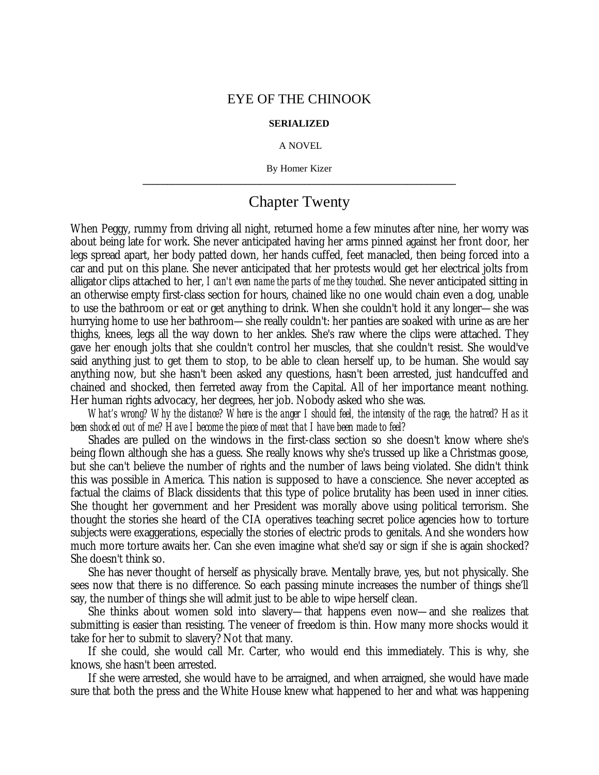## EYE OF THE CHINOOK

## **SERIALIZED**

## A NOVEL

By Homer Kizer **\_\_\_\_\_\_\_\_\_\_\_\_\_\_\_\_\_\_\_\_\_\_\_\_\_\_\_\_\_\_\_\_\_\_\_\_\_\_\_\_\_\_\_\_\_\_\_\_\_\_\_\_\_\_\_\_\_\_\_\_\_\_\_\_**

## Chapter Twenty

When Peggy, rummy from driving all night, returned home a few minutes after nine, her worry was about being late for work. She never anticipated having her arms pinned against her front door, her legs spread apart, her body patted down, her hands cuffed, feet manacled, then being forced into a car and put on this plane. She never anticipated that her protests would get her electrical jolts from alligator clips attached to her, *I can't even name the parts of me they touched*. She never anticipated sitting in an otherwise empty first-class section for hours, chained like no one would chain even a dog, unable to use the bathroom or eat or get anything to drink. When she couldn't hold it any longer— she was hurrying home to use her bathroom— she really couldn't: her panties are soaked with urine as are her thighs, knees, legs all the way down to her ankles. She's raw where the clips were attached. They gave her enough jolts that she couldn't control her muscles, that she couldn't resist. She would've said anything just to get them to stop, to be able to clean herself up, to be human. She would say anything now, but she hasn't been asked any questions, hasn't been arrested, just handcuffed and chained and shocked, then ferreted away from the Capital. All of her importance meant nothing. Her human rights advocacy, her degrees, her job. Nobody asked who she was.

*What's wrong? Why the distance? Where is the anger I should feel, the intensity of the rage, the hatred? Has it been shocked out of me? Have I become the piece of meat that I have been made to feel?*

Shades are pulled on the windows in the first-class section so she doesn't know where she's being flown although she has a guess. She really knows why she's trussed up like a Christmas goose, but she can't believe the number of rights and the number of laws being violated. She didn't think this was possible in America. This nation is supposed to have a conscience. She never accepted as factual the claims of Black dissidents that this type of police brutality has been used in inner cities. She thought her government and her President was morally above using political terrorism. She thought the stories she heard of the CIA operatives teaching secret police agencies how to torture subjects were exaggerations, especially the stories of electric prods to genitals. And she wonders how much more torture awaits her. Can she even imagine what she'd say or sign if she is again shocked? She doesn't think so.

She has never thought of herself as physically brave. Mentally brave, yes, but not physically. She sees now that there is no difference. So each passing minute increases the number of things she'll say, the number of things she will admit just to be able to wipe herself clean.

She thinks about women sold into slavery— that happens even now— and she realizes that submitting is easier than resisting. The veneer of freedom is thin. How many more shocks would it take for her to submit to slavery? Not that many.

If she could, she would call Mr. Carter, who would end this immediately. This is why, she knows, she hasn't been arrested.

If she were arrested, she would have to be arraigned, and when arraigned, she would have made sure that both the press and the White House knew what happened to her and what was happening